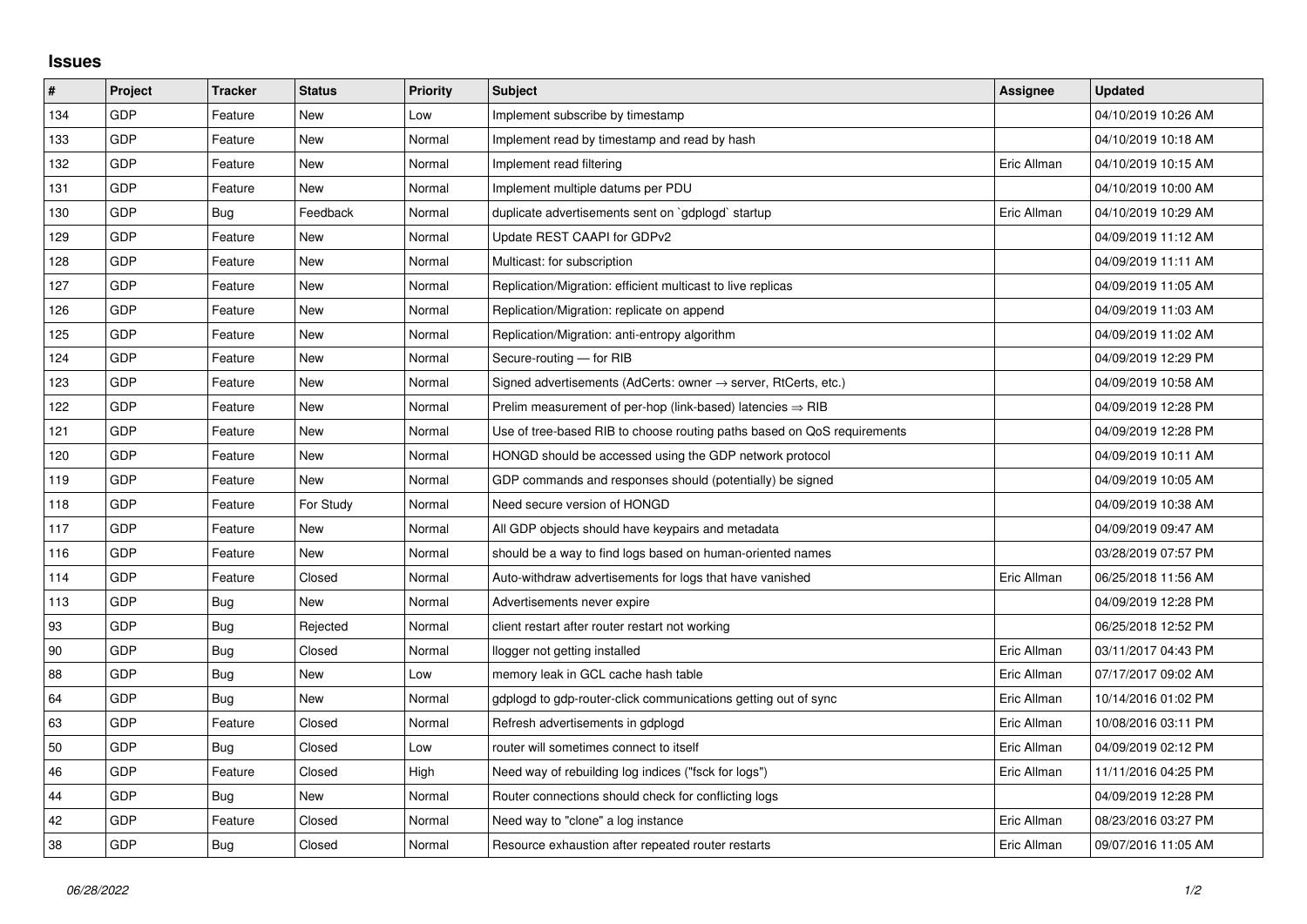## **Issues**

| #   | Project | <b>Tracker</b> | <b>Status</b> | <b>Priority</b> | <b>Subject</b>                                                             | Assignee    | <b>Updated</b>      |
|-----|---------|----------------|---------------|-----------------|----------------------------------------------------------------------------|-------------|---------------------|
| 134 | GDP     | Feature        | <b>New</b>    | Low             | Implement subscribe by timestamp                                           |             | 04/10/2019 10:26 AM |
| 133 | GDP     | Feature        | New           | Normal          | Implement read by timestamp and read by hash                               |             | 04/10/2019 10:18 AM |
| 132 | GDP     | Feature        | New           | Normal          | Implement read filtering                                                   | Eric Allman | 04/10/2019 10:15 AM |
| 131 | GDP     | Feature        | <b>New</b>    | Normal          | Implement multiple datums per PDU                                          |             | 04/10/2019 10:00 AM |
| 130 | GDP     | <b>Bug</b>     | Feedback      | Normal          | duplicate advertisements sent on `gdplogd` startup                         | Eric Allman | 04/10/2019 10:29 AM |
| 129 | GDP     | Feature        | New           | Normal          | Update REST CAAPI for GDPv2                                                |             | 04/09/2019 11:12 AM |
| 128 | GDP     | Feature        | <b>New</b>    | Normal          | Multicast: for subscription                                                |             | 04/09/2019 11:11 AM |
| 127 | GDP     | Feature        | New           | Normal          | Replication/Migration: efficient multicast to live replicas                |             | 04/09/2019 11:05 AM |
| 126 | GDP     | Feature        | New           | Normal          | Replication/Migration: replicate on append                                 |             | 04/09/2019 11:03 AM |
| 125 | GDP     | Feature        | <b>New</b>    | Normal          | Replication/Migration: anti-entropy algorithm                              |             | 04/09/2019 11:02 AM |
| 124 | GDP     | Feature        | New           | Normal          | Secure-routing - for RIB                                                   |             | 04/09/2019 12:29 PM |
| 123 | GDP     | Feature        | New           | Normal          | Signed advertisements (AdCerts: owner $\rightarrow$ server, RtCerts, etc.) |             | 04/09/2019 10:58 AM |
| 122 | GDP     | Feature        | <b>New</b>    | Normal          | Prelim measurement of per-hop (link-based) latencies $\Rightarrow$ RIB     |             | 04/09/2019 12:28 PM |
| 121 | GDP     | Feature        | New           | Normal          | Use of tree-based RIB to choose routing paths based on QoS requirements    |             | 04/09/2019 12:28 PM |
| 120 | GDP     | Feature        | New           | Normal          | HONGD should be accessed using the GDP network protocol                    |             | 04/09/2019 10:11 AM |
| 119 | GDP     | Feature        | <b>New</b>    | Normal          | GDP commands and responses should (potentially) be signed                  |             | 04/09/2019 10:05 AM |
| 118 | GDP     | Feature        | For Study     | Normal          | Need secure version of HONGD                                               |             | 04/09/2019 10:38 AM |
| 117 | GDP     | Feature        | New           | Normal          | All GDP objects should have keypairs and metadata                          |             | 04/09/2019 09:47 AM |
| 116 | GDP     | Feature        | <b>New</b>    | Normal          | should be a way to find logs based on human-oriented names                 |             | 03/28/2019 07:57 PM |
| 114 | GDP     | Feature        | Closed        | Normal          | Auto-withdraw advertisements for logs that have vanished                   | Eric Allman | 06/25/2018 11:56 AM |
| 113 | GDP     | Bug            | New           | Normal          | Advertisements never expire                                                |             | 04/09/2019 12:28 PM |
| 93  | GDP     | Bug            | Rejected      | Normal          | client restart after router restart not working                            |             | 06/25/2018 12:52 PM |
| 90  | GDP     | Bug            | Closed        | Normal          | llogger not getting installed                                              | Eric Allman | 03/11/2017 04:43 PM |
| 88  | GDP     | Bug            | <b>New</b>    | Low             | memory leak in GCL cache hash table                                        | Eric Allman | 07/17/2017 09:02 AM |
| 64  | GDP     | Bug            | New           | Normal          | gdplogd to gdp-router-click communications getting out of sync             | Eric Allman | 10/14/2016 01:02 PM |
| 63  | GDP     | Feature        | Closed        | Normal          | Refresh advertisements in gdplogd                                          | Eric Allman | 10/08/2016 03:11 PM |
| 50  | GDP     | Bug            | Closed        | Low             | router will sometimes connect to itself                                    | Eric Allman | 04/09/2019 02:12 PM |
| 46  | GDP     | Feature        | Closed        | High            | Need way of rebuilding log indices ("fsck for logs")                       | Eric Allman | 11/11/2016 04:25 PM |
| 44  | GDP     | <b>Bug</b>     | New           | Normal          | Router connections should check for conflicting logs                       |             | 04/09/2019 12:28 PM |
| 42  | GDP     | Feature        | Closed        | Normal          | Need way to "clone" a log instance                                         | Eric Allman | 08/23/2016 03:27 PM |
| 38  | GDP     | Bug            | Closed        | Normal          | Resource exhaustion after repeated router restarts                         | Eric Allman | 09/07/2016 11:05 AM |